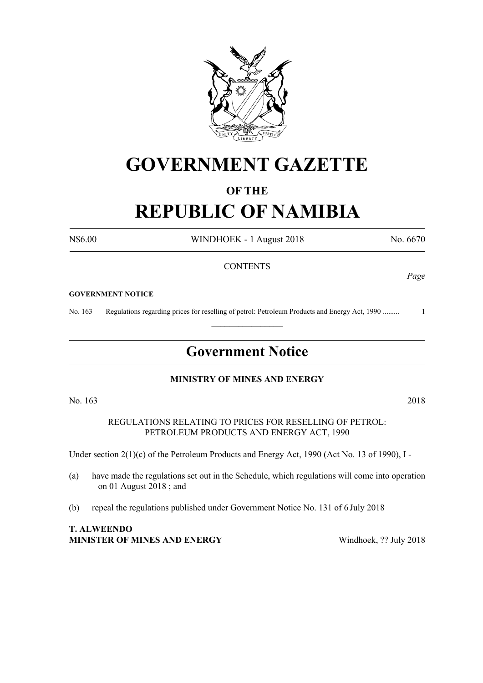

## **GOVERNMENT GAZETTE**

### **OF THE**

# **REPUBLIC OF NAMIBIA**

N\$6.00 WINDHOEK - 1 August 2018 No. 6670

#### **CONTENTS**

#### **GOVERNMENT NOTICE**

No. 163 Regulations regarding prices for reselling of petrol: Petroleum Products and Energy Act, 1990 ......... 1

### **Government Notice**

 $\frac{1}{2}$ 

#### **MINISTRY OF MINES AND ENERGY**

No. 163 2018

REGULATIONS RELATING TO PRICES FOR RESELLING OF PETROL: PETROLEUM PRODUCTS AND ENERGY ACT, 1990

Under section 2(1)(c) of the Petroleum Products and Energy Act, 1990 (Act No. 13 of 1990), I -

- (a) have made the regulations set out in the Schedule, which regulations will come into operation on 01 August 2018 ; and
- (b) repeal the regulations published under Government Notice No. 131 of 6 July 2018

#### **T. ALWEENDO MINISTER OF MINES AND ENERGY** Windhoek, ?? July 2018

*Page*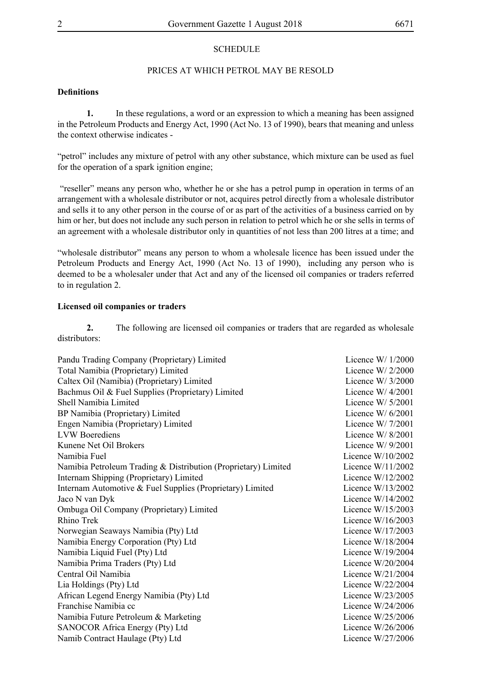#### **SCHEDULE**

#### PRICES AT WHICH PETROL MAY BE RESOLD

#### **Definitions**

**1.** In these regulations, a word or an expression to which a meaning has been assigned in the Petroleum Products and Energy Act, 1990 (Act No. 13 of 1990), bears that meaning and unless the context otherwise indicates -

"petrol" includes any mixture of petrol with any other substance, which mixture can be used as fuel for the operation of a spark ignition engine;

 "reseller" means any person who, whether he or she has a petrol pump in operation in terms of an arrangement with a wholesale distributor or not, acquires petrol directly from a wholesale distributor and sells it to any other person in the course of or as part of the activities of a business carried on by him or her, but does not include any such person in relation to petrol which he or she sells in terms of an agreement with a wholesale distributor only in quantities of not less than 200 litres at a time; and

"wholesale distributor" means any person to whom a wholesale licence has been issued under the Petroleum Products and Energy Act, 1990 (Act No. 13 of 1990), including any person who is deemed to be a wholesaler under that Act and any of the licensed oil companies or traders referred to in regulation 2.

#### **Licensed oil companies or traders**

**2.** The following are licensed oil companies or traders that are regarded as wholesale distributors:

| Pandu Trading Company (Proprietary) Limited                    | Licence W/ $1/2000$ |
|----------------------------------------------------------------|---------------------|
| Total Namibia (Proprietary) Limited                            | Licence W/ $2/2000$ |
| Caltex Oil (Namibia) (Proprietary) Limited                     | Licence W/ $3/2000$ |
| Bachmus Oil & Fuel Supplies (Proprietary) Limited              | Licence W/ $4/2001$ |
| Shell Namibia Limited                                          | Licence W/ $5/2001$ |
| BP Namibia (Proprietary) Limited                               | Licence W/ $6/2001$ |
| Engen Namibia (Proprietary) Limited                            | Licence W/ $7/2001$ |
| <b>LVW</b> Boerediens                                          | Licence W/ $8/2001$ |
| Kunene Net Oil Brokers                                         | Licence W/ $9/2001$ |
| Namibia Fuel                                                   | Licence $W/10/2002$ |
| Namibia Petroleum Trading & Distribution (Proprietary) Limited | Licence $W/11/2002$ |
| Internam Shipping (Proprietary) Limited                        | Licence $W/12/2002$ |
| Internam Automotive & Fuel Supplies (Proprietary) Limited      | Licence $W/13/2002$ |
| Jaco N van Dyk                                                 | Licence $W/14/2002$ |
| Ombuga Oil Company (Proprietary) Limited                       | Licence $W/15/2003$ |
| Rhino Trek                                                     | Licence W/16/2003   |
| Norwegian Seaways Namibia (Pty) Ltd                            | Licence $W/17/2003$ |
| Namibia Energy Corporation (Pty) Ltd                           | Licence $W/18/2004$ |
| Namibia Liquid Fuel (Pty) Ltd                                  | Licence $W/19/2004$ |
| Namibia Prima Traders (Pty) Ltd                                | Licence $W/20/2004$ |
| Central Oil Namibia                                            | Licence $W/21/2004$ |
| Lia Holdings (Pty) Ltd                                         | Licence $W/22/2004$ |
| African Legend Energy Namibia (Pty) Ltd                        | Licence $W/23/2005$ |
| Franchise Namibia cc                                           | Licence $W/24/2006$ |
| Namibia Future Petroleum & Marketing                           | Licence $W/25/2006$ |
| SANOCOR Africa Energy (Pty) Ltd                                | Licence $W/26/2006$ |
| Namib Contract Haulage (Pty) Ltd                               | Licence $W/27/2006$ |
|                                                                |                     |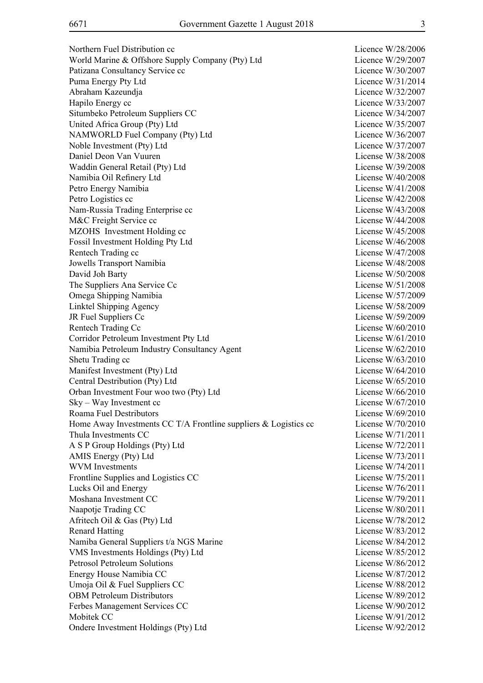Northern Fuel Distribution cc<br>
Licence W/28/2006 World Marine & Offshore Supply Company (Pty) Ltd Licence W/29/2007 Patizana Consultancy Service cc<br>
Licence W/30/2007 Puma Energy Pty Ltd Licence W/31/2014 Abraham Kazeundja Licence W/32/2007 Hapilo Energy cc Licence W/33/2007 Situmbeko Petroleum Suppliers CC and the Contract Contract Contract Contract Contract Contract Contract Contract Contract Contract Contract Contract Contract Contract Contract Contract Contract Contract Contract Contract C United Africa Group (Pty) Ltd Licence W/35/2007 NAMWORLD Fuel Company (Pty) Ltd Licence W/36/2007 Noble Investment (Pty) Ltd Licence W/37/2007 Daniel Deon Van Vuuren License W/38/2008 Waddin General Retail (Ptv) Ltd License W/39/2008 Namibia Oil Refinery Ltd License W/40/2008 Petro Energy Namibia License W/41/2008 Petro Logistics cc<br>
License W/42/2008 Nam-Russia Trading Enterprise cc and the contract of the License W/43/2008 M&C Freight Service cc License W/44/2008 MZOHS Investment Holding cc License W/45/2008 Fossil Investment Holding Pty Ltd License W/46/2008 Rentech Trading cc 
<br>
Rentech Trading cc

License W/47/2008 Jowells Transport Namibia License W/48/2008 David Joh Barty License W/50/2008 The Suppliers Ana Service Cc License W/51/2008 Omega Shipping Namibia License W/57/2009 Linktel Shipping Agency License W/58/2009 JR Fuel Suppliers Cc License W/59/2009 Rentech Trading Cc License W/60/2010 Corridor Petroleum Investment Pty Ltd License W/61/2010 Namibia Petroleum Industry Consultancy Agent License W/62/2010 Shetu Trading cc License W/63/2010 Manifest Investment (Pty) Ltd License W/64/2010 Central Destribution (Pty) Ltd License W/65/2010 Orban Investment Four woo two (Pty) Ltd License W/66/2010 Sky – Way Investment cc License W/67/2010 Roama Fuel Destributors License W/69/2010 Home Away Investments CC T/A Frontline suppliers  $&$  Logistics cc License W/70/2010 Thula Investments CC and the Company of the License W/71/2011 A S P Group Holdings (Pty) Ltd License W/72/2011 AMIS Energy (Pty) Ltd License W/73/2011 WVM Investments License W/74/2011 Frontline Supplies and Logistics CC License W/75/2011 Lucks Oil and Energy License W/76/2011 Moshana Investment CC and the CO and the Company of the Company of the Company of the License W/79/2011 Naapotje Trading CC License W/80/2011 Afritech Oil & Gas (Pty) Ltd License W/78/2012 Renard Hatting License W/83/2012 Namiba General Suppliers t/a NGS Marine License W/84/2012 VMS Investments Holdings (Pty) Ltd License W/85/2012 Petrosol Petroleum Solutions License W/86/2012 Energy House Namibia CC License W/87/2012 Umoja Oil & Fuel Suppliers CC License W/88/2012 OBM Petroleum Distributors License W/89/2012 Ferbes Management Services CC License W/90/2012 Mobitek CC License W/91/2012 Ondere Investment Holdings (Pty) Ltd License W/92/2012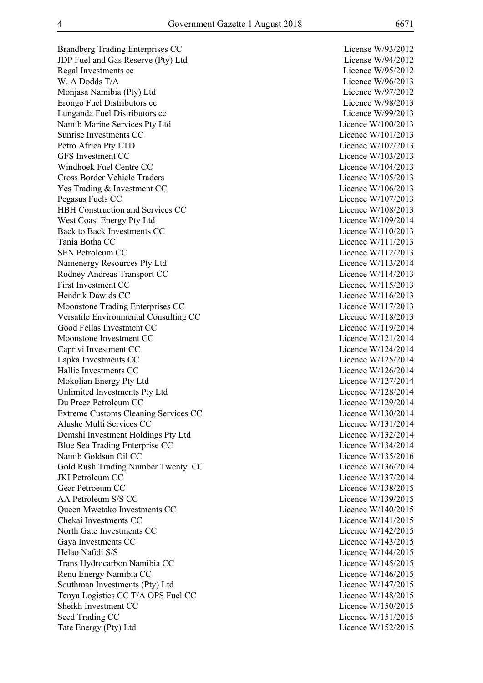Brandberg Trading Enterprises CC License W/93/2012 JDP Fuel and Gas Reserve (Pty) Ltd License W/94/2012 Regal Investments cc Licence W/95/2012 W. A Dodds T/A Licence W/96/2013 Monjasa Namibia (Pty) Ltd Licence W/97/2012 Erongo Fuel Distributors cc <br>
Licence W/98/2013 Lunganda Fuel Distributors cc intervention of the Licence W/99/2013 Namib Marine Services Pty Ltd Licence W/100/2013 Sunrise Investments CC Licence W/101/2013 Petro Africa Pty LTD Licence W/102/2013 GFS Investment CC Licence W/103/2013 Windhoek Fuel Centre CC Licence W/104/2013 Cross Border Vehicle Traders Licence W/105/2013 Yes Trading & Investment CC Licence W/106/2013 Pegasus Fuels CC Licence W/107/2013 HBH Construction and Services CC Licence W/108/2013 West Coast Energy Pty Ltd Licence W/109/2014 Back to Back Investments CC Licence W/110/2013 Tania Botha CC Licence W/111/2013 SEN Petroleum CC Licence W/112/2013 Namenergy Resources Pty Ltd Licence W/113/2014 Rodney Andreas Transport CC Licence W/114/2013 First Investment CC Licence W/115/2013 Hendrik Dawids CC and the United States of the United States and Licence W/116/2013 Moonstone Trading Enterprises CC Licence W/117/2013 Versatile Environmental Consulting CC Licence W/118/2013 Good Fellas Investment CC and CO and CO Licence W/119/2014 Moonstone Investment CC Licence W/121/2014 Caprivi Investment CC Licence W/124/2014 Lapka Investments CC Licence W/125/2014 Hallie Investments CC Licence W/126/2014 Mokolian Energy Pty Ltd Licence W/127/2014 Unlimited Investments Pty Ltd Licence W/128/2014 Du Preez Petroleum CC Licence W/129/2014 Extreme Customs Cleaning Services CC Licence W/130/2014 Alushe Multi Services CC and the Contract of the Licence W/131/2014 Demshi Investment Holdings Pty Ltd Licence W/132/2014 Blue Sea Trading Enterprise CC Licence W/134/2014 Namib Goldsun Oil CC Licence W/135/2016 Gold Rush Trading Number Twenty CC Licence W/136/2014 JKI Petroleum CC Licence W/137/2014 Gear Petroeum CC Licence W/138/2015 AA Petroleum S/S CC Licence W/139/2015 Queen Mwetako Investments CC Licence W/140/2015 Chekai Investments CC and the Company of the Licence W/141/2015 North Gate Investments CC Licence W/142/2015 Gaya Investments CC Licence W/143/2015 Helao Nafidi S/S Licence W/144/2015 Trans Hydrocarbon Namibia CC Licence W/145/2015 Renu Energy Namibia CC Licence W/146/2015 Southman Investments (Pty) Ltd Licence W/147/2015 Tenya Logistics CC T/A OPS Fuel CC Licence W/148/2015 Sheikh Investment CC and the CC Licence W/150/2015 Seed Trading CC Licence W/151/2015 Tate Energy (Pty) Ltd Licence W/152/2015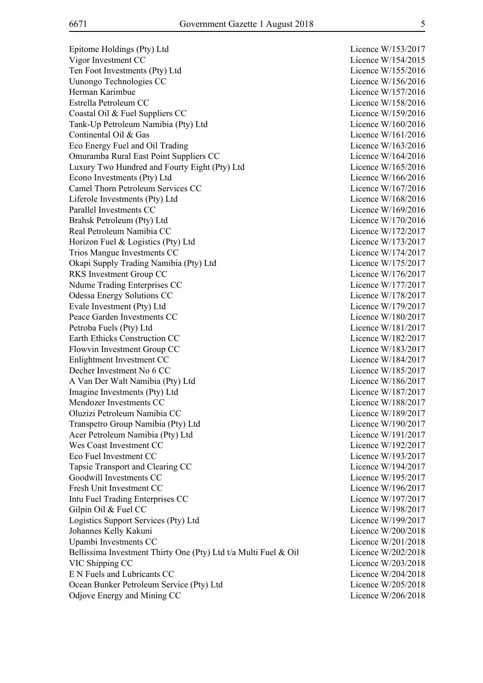Epitome Holdings (Pty) Ltd Licence W/153/2017 Vigor Investment CC Licence W/154/2015 Ten Foot Investments (Pty) Ltd Licence W/155/2016 Uunongo Technologies CC Licence W/156/2016 Herman Karimbue Licence W/157/2016 Estrella Petroleum CC and the Licence W/158/2016 Coastal Oil & Fuel Suppliers CC Licence W/159/2016 Tank-Up Petroleum Namibia (Pty) Ltd Licence W/160/2016 Continental Oil & Gas Licence W/161/2016 Eco Energy Fuel and Oil Trading The Contract Contract Contract Contract Contract Contract Contract Contract Contract Contract Contract Contract Contract Contract Contract Contract Contract Contract Contract Contract Contra Omuramba Rural East Point Suppliers CC Licence W/164/2016 Luxury Two Hundred and Fourty Eight (Pty) Ltd Licence W/165/2016 Econo Investments (Pty) Ltd Licence W/166/2016 Camel Thorn Petroleum Services CC Licence W/167/2016 Liferole Investments (Pty) Ltd Licence W/168/2016 Parallel Investments CC Licence W/169/2016 Brahsk Petroleum (Ptv) Ltd Licence W/170/2016 Real Petroleum Namibia CC Licence W/172/2017 Horizon Fuel & Logistics (Pty) Ltd Licence W/173/2017 Trios Mangue Investments CC Licence W/174/2017 Okapi Supply Trading Namibia (Pty) Ltd Licence W/175/2017 RKS Investment Group CC Licence W/176/2017 Ndume Trading Enterprises CC Licence W/177/2017 Odessa Energy Solutions CC and the Contract Contract Contract Contract Contract Contract Contract Contract Contract Contract Contract Contract Contract Contract Contract Contract Contract Contract Contract Contract Contrac Evale Investment (Pty) Ltd Licence W/179/2017 Peace Garden Investments CC and the CO Licence W/180/2017 Petroba Fuels (Pty) Ltd Licence W/181/2017 Earth Ethicks Construction CC Licence W/182/2017 Flowvin Investment Group CC Licence W/183/2017 Enlightment Investment CC Licence W/184/2017 Decher Investment No 6 CC Licence W/185/2017 A Van Der Walt Namibia (Pty) Ltd Licence W/186/2017 Imagine Investments (Pty) Ltd Licence W/187/2017 Mendozer Investments CC Licence W/188/2017 Oluzizi Petroleum Namibia CC Licence W/189/2017 Transpetro Group Namibia (Pty) Ltd Licence W/190/2017 Acer Petroleum Namibia (Pty) Ltd Licence W/191/2017 Wes Coast Investment CC Licence W/192/2017 Eco Fuel Investment CC Licence W/193/2017 Tapsie Transport and Clearing CC and Clearing CC Licence W/194/2017 Goodwill Investments CC Licence W/195/2017 Fresh Unit Investment CC Licence W/196/2017 Intu Fuel Trading Enterprises CC Licence W/197/2017 Gilpin Oil & Fuel CC Licence W/198/2017 Logistics Support Services (Pty) Ltd Licence W/199/2017 Johannes Kelly Kakuni Licence W/200/2018 Upambi Investments CC Licence W/201/2018 Bellissima Investment Thirty One (Pty) Ltd t/a Multi Fuel & Oil Licence W/202/2018 VIC Shipping CC Licence W/203/2018 E N Fuels and Lubricants CC Licence W/204/2018 Ocean Bunker Petroleum Service (Pty) Ltd Licence W/205/2018 Odjove Energy and Mining CC Licence W/206/2018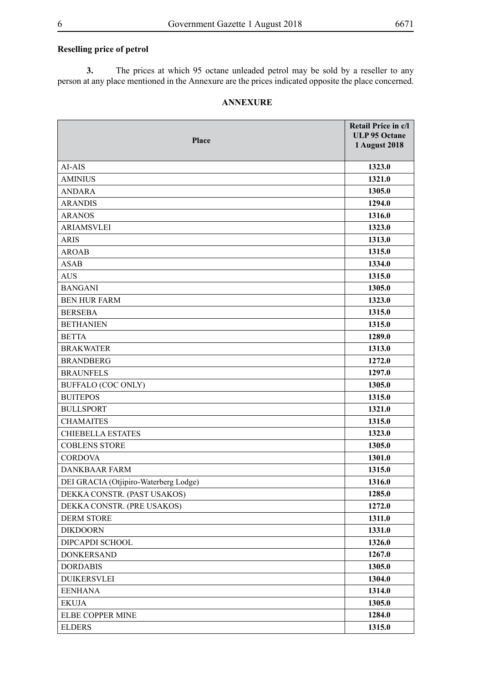#### **Reselling price of petrol**

**3.** The prices at which 95 octane unleaded petrol may be sold by a reseller to any person at any place mentioned in the Annexure are the prices indicated opposite the place concerned.

#### **ANNEXURE**

| Place                                 | Retail Price in c/l<br><b>ULP 95 Octane</b><br><b>1 August 2018</b> |
|---------------------------------------|---------------------------------------------------------------------|
| AI-AIS                                | 1323.0                                                              |
| <b>AMINIUS</b>                        | 1321.0                                                              |
| <b>ANDARA</b>                         | 1305.0                                                              |
| <b>ARANDIS</b>                        | 1294.0                                                              |
| <b>ARANOS</b>                         | 1316.0                                                              |
| <b>ARIAMSVLEI</b>                     | 1323.0                                                              |
| <b>ARIS</b>                           | 1313.0                                                              |
| <b>AROAB</b>                          | 1315.0                                                              |
| <b>ASAB</b>                           | 1334.0                                                              |
| <b>AUS</b>                            | 1315.0                                                              |
| <b>BANGANI</b>                        | 1305.0                                                              |
| <b>BEN HUR FARM</b>                   | 1323.0                                                              |
| <b>BERSEBA</b>                        | 1315.0                                                              |
| <b>BETHANIEN</b>                      | 1315.0                                                              |
| <b>BETTA</b>                          | 1289.0                                                              |
| <b>BRAKWATER</b>                      | 1313.0                                                              |
| <b>BRANDBERG</b>                      | 1272.0                                                              |
| <b>BRAUNFELS</b>                      | 1297.0                                                              |
| <b>BUFFALO (COC ONLY)</b>             | 1305.0                                                              |
| <b>BUITEPOS</b>                       | 1315.0                                                              |
| <b>BULLSPORT</b>                      | 1321.0                                                              |
| <b>CHAMAITES</b>                      | 1315.0                                                              |
| <b>CHIEBELLA ESTATES</b>              | 1323.0                                                              |
| <b>COBLENS STORE</b>                  | 1305.0                                                              |
| <b>CORDOVA</b>                        | 1301.0                                                              |
| <b>DANKBAAR FARM</b>                  | 1315.0                                                              |
| DEI GRACIA (Otjipiro-Waterberg Lodge) | 1316.0                                                              |
| DEKKA CONSTR. (PAST USAKOS)           | 1285.0                                                              |
| DEKKA CONSTR. (PRE USAKOS)            | 1272.0                                                              |
| <b>DERM STORE</b>                     | 1311.0                                                              |
| <b>DIKDOORN</b>                       | 1331.0                                                              |
| DIPCAPDI SCHOOL                       | 1326.0                                                              |
| <b>DONKERSAND</b>                     | 1267.0                                                              |
| <b>DORDABIS</b>                       | 1305.0                                                              |
| <b>DUIKERSVLEI</b>                    | 1304.0                                                              |
| <b>EENHANA</b>                        | 1314.0                                                              |
| <b>EKUJA</b>                          | 1305.0                                                              |
| ELBE COPPER MINE                      | 1284.0                                                              |
| <b>ELDERS</b>                         | 1315.0                                                              |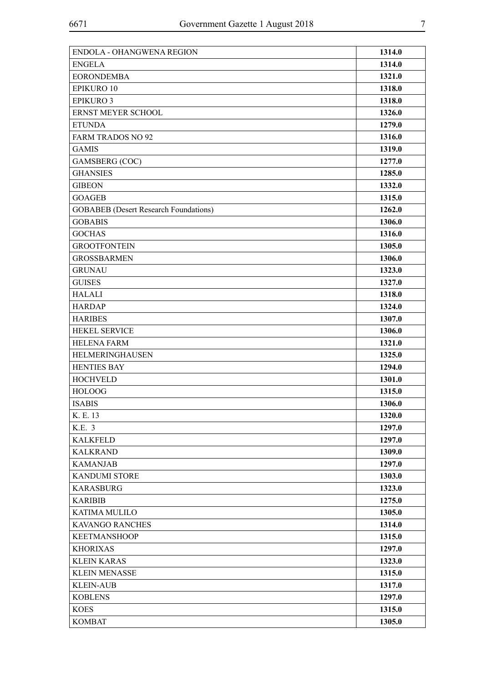| <b>ENGELA</b><br><b>EORONDEMBA</b><br><b>EPIKURO 10</b> | 1314.0<br>1321.0<br>1318.0 |
|---------------------------------------------------------|----------------------------|
|                                                         |                            |
|                                                         |                            |
|                                                         |                            |
| <b>EPIKURO 3</b>                                        | 1318.0                     |
| ERNST MEYER SCHOOL                                      | 1326.0                     |
| <b>ETUNDA</b>                                           | 1279.0                     |
| <b>FARM TRADOS NO 92</b>                                | 1316.0                     |
| <b>GAMIS</b>                                            | 1319.0                     |
| <b>GAMSBERG</b> (COC)                                   | 1277.0                     |
| <b>GHANSIES</b>                                         | 1285.0                     |
| <b>GIBEON</b>                                           | 1332.0                     |
| <b>GOAGEB</b>                                           | 1315.0                     |
| <b>GOBABEB</b> (Desert Research Foundations)            | 1262.0                     |
| <b>GOBABIS</b>                                          | 1306.0                     |
| <b>GOCHAS</b>                                           | 1316.0                     |
| <b>GROOTFONTEIN</b>                                     | 1305.0                     |
| <b>GROSSBARMEN</b>                                      | 1306.0                     |
| <b>GRUNAU</b>                                           | 1323.0                     |
| <b>GUISES</b>                                           | 1327.0                     |
| <b>HALALI</b>                                           | 1318.0                     |
| <b>HARDAP</b>                                           | 1324.0                     |
| <b>HARIBES</b>                                          | 1307.0                     |
| HEKEL SERVICE                                           | 1306.0                     |
| <b>HELENA FARM</b>                                      | 1321.0                     |
| HELMERINGHAUSEN                                         | 1325.0                     |
| <b>HENTIES BAY</b>                                      | 1294.0                     |
| <b>HOCHVELD</b>                                         | 1301.0                     |
| <b>HOLOOG</b>                                           | 1315.0                     |
| <b>ISABIS</b>                                           | 1306.0                     |
| K. E. 13                                                | 1320.0                     |
| K.E. 3                                                  | 1297.0                     |
| <b>KALKFELD</b>                                         | 1297.0                     |
| <b>KALKRAND</b>                                         | 1309.0                     |
| <b>KAMANJAB</b>                                         | 1297.0                     |
| <b>KANDUMI STORE</b>                                    | 1303.0                     |
| <b>KARASBURG</b>                                        | 1323.0                     |
| <b>KARIBIB</b>                                          | 1275.0                     |
| <b>KATIMA MULILO</b>                                    | 1305.0                     |
| <b>KAVANGO RANCHES</b>                                  | 1314.0                     |
| <b>KEETMANSHOOP</b>                                     | 1315.0                     |
| <b>KHORIXAS</b>                                         | 1297.0                     |
| <b>KLEIN KARAS</b>                                      | 1323.0                     |
| <b>KLEIN MENASSE</b>                                    | 1315.0                     |
| <b>KLEIN-AUB</b>                                        | 1317.0                     |
| <b>KOBLENS</b>                                          | 1297.0                     |
| <b>KOES</b>                                             | 1315.0                     |
| <b>KOMBAT</b>                                           | 1305.0                     |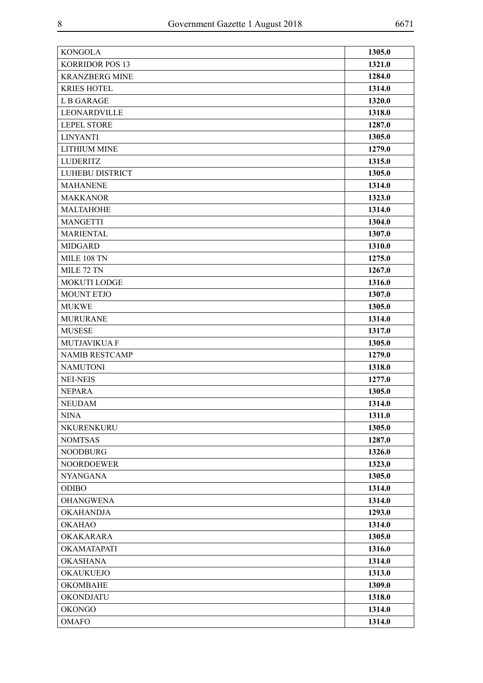| <b>KONGOLA</b>         | 1305.0 |
|------------------------|--------|
| <b>KORRIDOR POS 13</b> | 1321.0 |
| <b>KRANZBERG MINE</b>  | 1284.0 |
| <b>KRIES HOTEL</b>     | 1314.0 |
| <b>LB GARAGE</b>       | 1320.0 |
| LEONARDVILLE           | 1318.0 |
| <b>LEPEL STORE</b>     | 1287.0 |
| <b>LINYANTI</b>        | 1305.0 |
| <b>LITHIUM MINE</b>    | 1279.0 |
| <b>LUDERITZ</b>        | 1315.0 |
| LUHEBU DISTRICT        | 1305.0 |
| <b>MAHANENE</b>        | 1314.0 |
| <b>MAKKANOR</b>        | 1323.0 |
| MALTAHOHE              | 1314.0 |
| <b>MANGETTI</b>        | 1304.0 |
| <b>MARIENTAL</b>       | 1307.0 |
| <b>MIDGARD</b>         | 1310.0 |
| <b>MILE 108 TN</b>     | 1275.0 |
| MILE 72 TN             | 1267.0 |
| MOKUTI LODGE           | 1316.0 |
| <b>MOUNT ETJO</b>      | 1307.0 |
| <b>MUKWE</b>           | 1305.0 |
| <b>MURURANE</b>        | 1314.0 |
| <b>MUSESE</b>          | 1317.0 |
| <b>MUTJAVIKUA F</b>    | 1305.0 |
| <b>NAMIB RESTCAMP</b>  | 1279.0 |
| <b>NAMUTONI</b>        | 1318.0 |
| <b>NEI-NEIS</b>        | 1277.0 |
| <b>NEPARA</b>          | 1305.0 |
| <b>NEUDAM</b>          | 1314.0 |
| <b>NINA</b>            | 1311.0 |
| NKURENKURU             | 1305.0 |
| <b>NOMTSAS</b>         | 1287.0 |
| <b>NOODBURG</b>        | 1326.0 |
| <b>NOORDOEWER</b>      | 1323.0 |
| <b>NYANGANA</b>        | 1305.0 |
| <b>ODIBO</b>           | 1314.0 |
| <b>OHANGWENA</b>       | 1314.0 |
| <b>OKAHANDJA</b>       | 1293.0 |
| <b>OKAHAO</b>          | 1314.0 |
| OKAKARARA              | 1305.0 |
| <b>OKAMATAPATI</b>     | 1316.0 |
| <b>OKASHANA</b>        | 1314.0 |
| <b>OKAUKUEJO</b>       | 1313.0 |
| <b>OKOMBAHE</b>        | 1309.0 |
| <b>OKONDJATU</b>       | 1318.0 |
| <b>OKONGO</b>          | 1314.0 |
| <b>OMAFO</b>           | 1314.0 |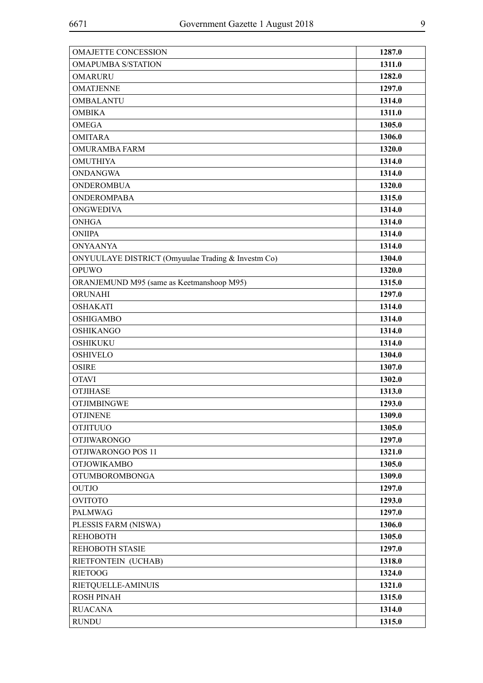| <b>OMAJETTE CONCESSION</b>                         | 1287.0 |
|----------------------------------------------------|--------|
| <b>OMAPUMBA S/STATION</b>                          | 1311.0 |
| <b>OMARURU</b>                                     | 1282.0 |
| <b>OMATJENNE</b>                                   | 1297.0 |
| <b>OMBALANTU</b>                                   | 1314.0 |
| <b>OMBIKA</b>                                      | 1311.0 |
| <b>OMEGA</b>                                       | 1305.0 |
| <b>OMITARA</b>                                     | 1306.0 |
| <b>OMURAMBA FARM</b>                               | 1320.0 |
| <b>OMUTHIYA</b>                                    | 1314.0 |
| <b>ONDANGWA</b>                                    | 1314.0 |
| <b>ONDEROMBUA</b>                                  | 1320.0 |
| <b>ONDEROMPABA</b>                                 | 1315.0 |
| <b>ONGWEDIVA</b>                                   | 1314.0 |
| <b>ONHGA</b>                                       | 1314.0 |
| <b>ONIIPA</b>                                      | 1314.0 |
| <b>ONYAANYA</b>                                    | 1314.0 |
| ONYUULAYE DISTRICT (Omyuulae Trading & Investm Co) | 1304.0 |
| <b>OPUWO</b>                                       | 1320.0 |
| ORANJEMUND M95 (same as Keetmanshoop M95)          | 1315.0 |
| ORUNAHI                                            | 1297.0 |
| <b>OSHAKATI</b>                                    | 1314.0 |
| <b>OSHIGAMBO</b>                                   | 1314.0 |
| <b>OSHIKANGO</b>                                   | 1314.0 |
| <b>OSHIKUKU</b>                                    | 1314.0 |
| <b>OSHIVELO</b>                                    | 1304.0 |
| <b>OSIRE</b>                                       | 1307.0 |
| <b>OTAVI</b>                                       | 1302.0 |
| <b>OTJIHASE</b>                                    | 1313.0 |
| <b>OTJIMBINGWE</b>                                 | 1293.0 |
| <b>OTJINENE</b>                                    | 1309.0 |
| <b>OTJITUUO</b>                                    | 1305.0 |
| <b>OTJIWARONGO</b>                                 | 1297.0 |
| OTJIWARONGO POS 11                                 | 1321.0 |
| <b>OTJOWIKAMBO</b>                                 | 1305.0 |
| <b>OTUMBOROMBONGA</b>                              | 1309.0 |
| <b>OUTJO</b>                                       | 1297.0 |
| <b>OVITOTO</b>                                     | 1293.0 |
| <b>PALMWAG</b>                                     | 1297.0 |
| PLESSIS FARM (NISWA)                               | 1306.0 |
| <b>REHOBOTH</b>                                    | 1305.0 |
| REHOBOTH STASIE                                    | 1297.0 |
| RIETFONTEIN (UCHAB)                                | 1318.0 |
| <b>RIETOOG</b>                                     | 1324.0 |
| RIETQUELLE-AMINUIS                                 | 1321.0 |
| <b>ROSH PINAH</b>                                  | 1315.0 |
| <b>RUACANA</b>                                     | 1314.0 |
| <b>RUNDU</b>                                       | 1315.0 |